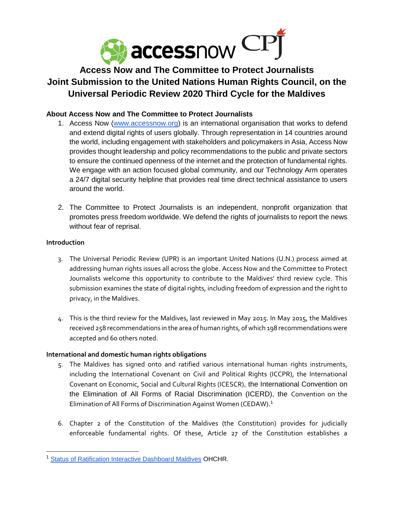

# **Access Now and The Committee to Protect Journalists Joint Submission to the United Nations Human Rights Council, on the Universal Periodic Review 2020 Third Cycle for the Maldives**

## **About Access Now and The Committee to Protect Journalists**

- 1. Access Now [\(www.accessnow.org\)](http://www.accessnow.org/) is an international organisation that works to defend and extend digital rights of users globally. Through representation in 14 countries around the world, including engagement with stakeholders and policymakers in Asia, Access Now provides thought leadership and policy recommendations to the public and private sectors to ensure the continued openness of the internet and the protection of fundamental rights. We engage with an action focused global community, and our Technology Arm operates a 24/7 digital security helpline that provides real time direct technical assistance to users around the world.
- 2. The Committee to Protect Journalists is an independent, nonprofit organization that promotes press freedom worldwide. We defend the rights of journalists to report the news without fear of reprisal.

#### **Introduction**

- 3. The Universal Periodic Review (UPR) is an important United Nations (U.N.) process aimed at addressing human rights issues all across the globe. Access Now and the Committee to Protect Journalists welcome this opportunity to contribute to the Maldives' third review cycle. This submission examines the state of digital rights, including freedom of expression and the right to privacy, in the Maldives.
- 4. This is the third review for the Maldives, last reviewed in May 2015. In May 2015, the Maldives received 258 recommendations in the area of human rights, of which 198 recommendations were accepted and 60 others noted.

## **International and domestic human rights obligations**

- 5. The Maldives has signed onto and ratified various international human rights instruments, including the International Covenant on Civil and Political Rights (ICCPR), the International Covenant on Economic, Social and Cultural Rights (ICESCR), the International Convention on the Elimination of All Forms of Racial Discrimination (ICERD), the Convention on the Elimination of All Forms of Discrimination Against Women (CEDAW).<sup>1</sup>
- 6. Chapter 2 of the Constitution of the Maldives (the Constitution) provides for judicially enforceable fundamental rights. Of these, Article 27 of the Constitution establishes a

<sup>&</sup>lt;sup>1</sup> [Status of Ratification Interactive Dashboard Maldives](https://indicators.ohchr.org/) OHCHR.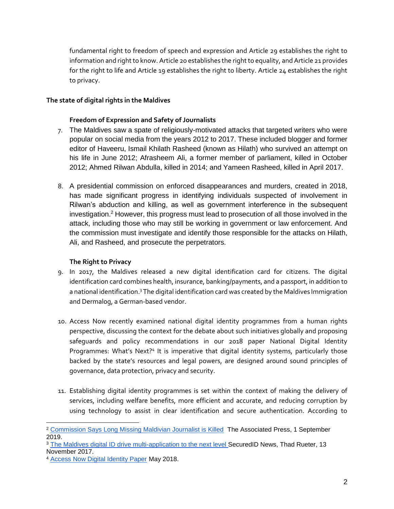fundamental right to freedom of speech and expression and Article 29 establishes the right to information and right to know. Article 20 establishes the right to equality, and Article 21 provides for the right to life and Article 19 establishes the right to liberty. Article 24 establishes the right to privacy.

#### **The state of digital rights in the Maldives**

### **Freedom of Expression and Safety of Journalists**

- 7. The Maldives saw a spate of religiously-motivated attacks that targeted writers who were popular on social media from the years 2012 to 2017. These included blogger and former editor of Haveeru, Ismail Khilath Rasheed (known as Hilath) who survived an attempt on his life in June 2012; Afrasheem Ali, a former member of parliament, killed in October 2012; Ahmed Rilwan Abdulla, killed in 2014; and Yameen Rasheed, killed in April 2017.
- 8. A presidential commission on enforced disappearances and murders, created in 2018, has made significant progress in identifying individuals suspected of involvement in Rilwan's abduction and killing, as well as government interference in the subsequent investigation.<sup>2</sup> However, this progress must lead to prosecution of all those involved in the attack, including those who may still be working in government or law enforcement. And the commission must investigate and identify those responsible for the attacks on Hilath, Ali, and Rasheed, and prosecute the perpetrators.

#### **The Right to Privacy**

- 9. In 2017, the Maldives released a new digital identification card for citizens. The digital identification card combines health, insurance, banking/payments, and a passport, in addition to a national identification.<sup>3</sup> The digital identification card was created by the Maldives Immigration and Dermalog, a German-based vendor.
- 10. Access Now recently examined national digital identity programmes from a human rights perspective, discussing the context for the debate about such initiatives globally and proposing safeguards and policy recommendations in our 2018 paper National Digital Identity Programmes: What's Next?4 It is imperative that digital identity systems, particularly those backed by the state's resources and legal powers, are designed around sound principles of governance, data protection, privacy and security.
- 11. Establishing digital identity programmes is set within the context of making the delivery of services, including welfare benefits, more efficient and accurate, and reducing corruption by using technology to assist in clear identification and secure authentication. According to

<sup>&</sup>lt;sup>2</sup> [Commission Says Long Missing Maldivian Journalist is Killed](https://wtop.com/asia/2019/09/commission-says-long-missing-maldivian-journalist-is-killed/) The Associated Press, 1 September 2019.

<sup>&</sup>lt;sup>3</sup> [The Maldives digital ID drive multi-application to](https://www.secureidnews.com/news-item/maldives-digital-id-drives-multi-application-next-level/) the next level SecuredID News, Thad Rueter, 13 November 2017.

<sup>4</sup> [Access Now Digital Identity Paper](https://www.accessnow.org/cms/assets/uploads/2018/06/Digital-Identity-Paper-2018-05.pdf) May 2018.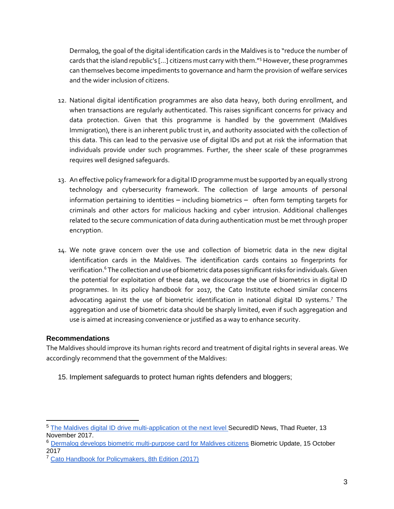Dermalog, the goal of the digital identification cards in the Maldives is to "reduce the number of cards that the island republic's […] citizens must carry with them."<sup>5</sup> However, these programmes can themselves become impediments to governance and harm the provision of welfare services and the wider inclusion of citizens.

- 12. National digital identification programmes are also data heavy, both during enrollment, and when transactions are regularly authenticated. This raises significant concerns for privacy and data protection. Given that this programme is handled by the government (Maldives Immigration), there is an inherent public trust in, and authority associated with the collection of this data. This can lead to the pervasive use of digital IDs and put at risk the information that individuals provide under such programmes. Further, the sheer scale of these programmes requires well designed safeguards.
- 13. An effective policy framework for a digital ID programme must be supported by an equally strong technology and cybersecurity framework. The collection of large amounts of personal information pertaining to identities – including biometrics – often form tempting targets for criminals and other actors for malicious hacking and cyber intrusion. Additional challenges related to the secure communication of data during authentication must be met through proper encryption.
- 14. We note grave concern over the use and collection of biometric data in the new digital identification cards in the Maldives. The identification cards contains 10 fingerprints for verification.<sup>6</sup> The collection and use of biometric data poses significant risks for individuals. Given the potential for exploitation of these data, we discourage the use of biometrics in digital ID programmes. In its policy handbook for 2017, the Cato Institute echoed similar concerns advocating against the use of biometric identification in national digital ID systems.<sup>7</sup> The aggregation and use of biometric data should be sharply limited, even if such aggregation and use is aimed at increasing convenience or justified as a way to enhance security.

## **Recommendations**

The Maldives should improve its human rights record and treatment of digital rights in several areas. We accordingly recommend that the government of the Maldives:

15. Implement safeguards to protect human rights defenders and bloggers;

<sup>5</sup> [The Maldives digital ID drive multi-application ot the next level S](https://www.secureidnews.com/news-item/maldives-digital-id-drives-multi-application-next-level/)ecuredID News, Thad Rueter, 13 November 2017.

<sup>&</sup>lt;sup>6</sup> [Dermalog develops biometric multi-purpose card for Maldives citizens](https://www.biometricupdate.com/201710/dermalog-develops-biometric-multi-purpose-card-for-maldives-citizens) Biometric Update, 15 October 2017

<sup>&</sup>lt;sup>7</sup> [Cato Handbook for Policymakers, 8th Edition \(2017\)](https://www.cato.or/cato-handbook-policymakers/cato-handbook-policy-makers-8th-edition-2017/national-id-system)